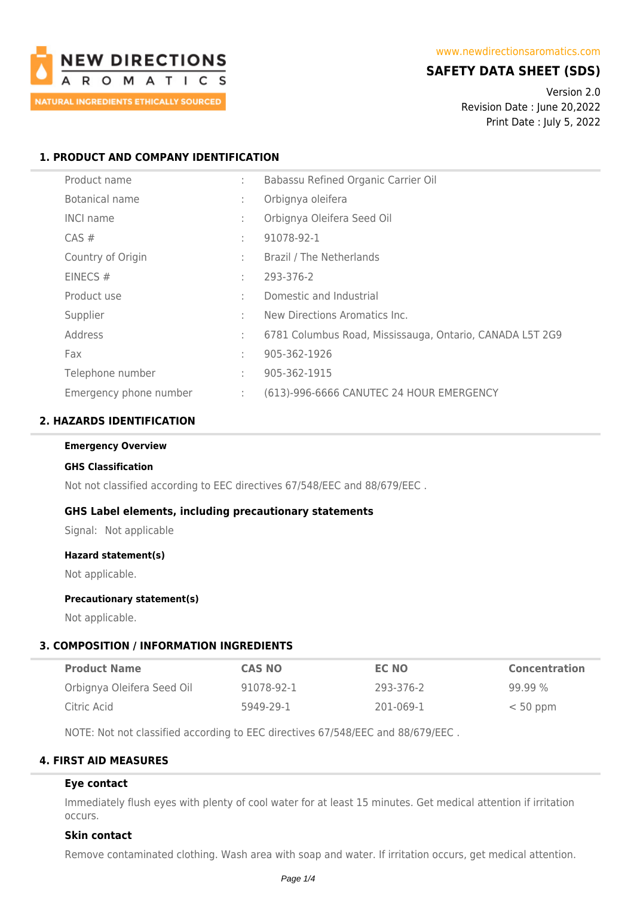

# **SAFETY DATA SHEET (SDS)**

Version 2.0 Revision Date : June 20,2022 Print Date : July 5, 2022

### **1. PRODUCT AND COMPANY IDENTIFICATION**

| Product name           | ÷  | Babassu Refined Organic Carrier Oil                      |
|------------------------|----|----------------------------------------------------------|
| Botanical name         | ÷  | Orbignya oleifera                                        |
| <b>INCI name</b>       | ÷  | Orbignya Oleifera Seed Oil                               |
| $CAS \#$               | ÷  | 91078-92-1                                               |
| Country of Origin      |    | Brazil / The Netherlands                                 |
| EINECS $#$             | ÷  | 293-376-2                                                |
| Product use            | ÷  | Domestic and Industrial                                  |
| Supplier               | ÷  | New Directions Aromatics Inc.                            |
| Address                | ÷  | 6781 Columbus Road, Mississauga, Ontario, CANADA L5T 2G9 |
| Fax                    | ÷  | 905-362-1926                                             |
| Telephone number       | ÷  | 905-362-1915                                             |
| Emergency phone number | ÷. | (613)-996-6666 CANUTEC 24 HOUR EMERGENCY                 |

### **2. HAZARDS IDENTIFICATION**

### **Emergency Overview**

#### **GHS Classification**

Not not classified according to EEC directives 67/548/EEC and 88/679/EEC .

### **GHS Label elements, including precautionary statements**

Signal: Not applicable

#### **Hazard statement(s)**

Not applicable.

### **Precautionary statement(s)**

Not applicable.

### **3. COMPOSITION / INFORMATION INGREDIENTS**

| <b>Product Name</b>        | <b>CAS NO</b> | EC NO     | <b>Concentration</b> |
|----------------------------|---------------|-----------|----------------------|
| Orbignya Oleifera Seed Oil | 91078-92-1    | 293-376-2 | $99.99\%$            |
| Citric Acid                | 5949-29-1     | 201-069-1 | $< 50$ ppm           |

NOTE: Not not classified according to EEC directives 67/548/EEC and 88/679/EEC .

### **4. FIRST AID MEASURES**

### **Eye contact**

Immediately flush eyes with plenty of cool water for at least 15 minutes. Get medical attention if irritation occurs.

### **Skin contact**

Remove contaminated clothing. Wash area with soap and water. If irritation occurs, get medical attention.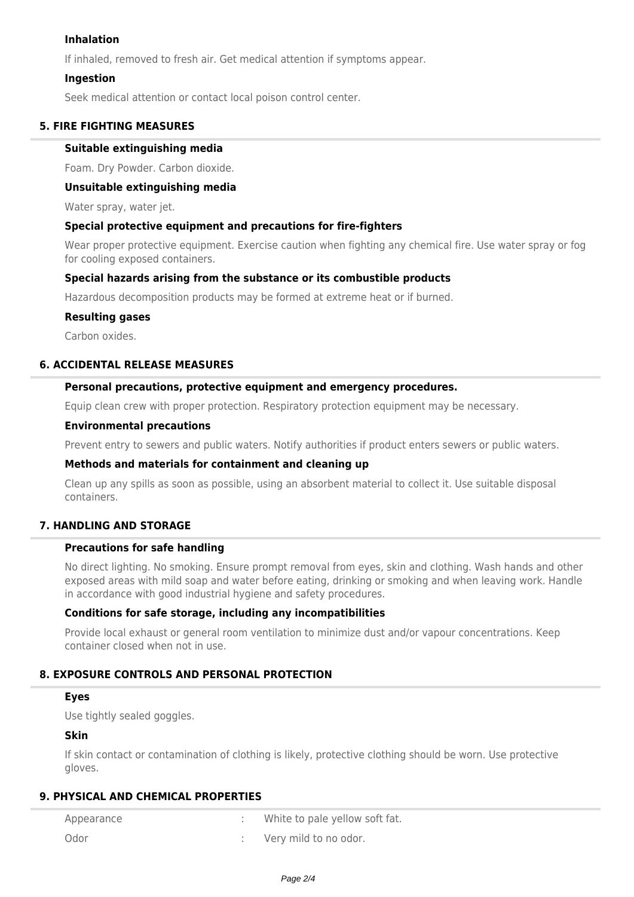### **Inhalation**

If inhaled, removed to fresh air. Get medical attention if symptoms appear.

### **Ingestion**

Seek medical attention or contact local poison control center.

### **5. FIRE FIGHTING MEASURES**

### **Suitable extinguishing media**

Foam. Dry Powder. Carbon dioxide.

### **Unsuitable extinguishing media**

Water spray, water jet.

### **Special protective equipment and precautions for fire-fighters**

Wear proper protective equipment. Exercise caution when fighting any chemical fire. Use water spray or fog for cooling exposed containers.

### **Special hazards arising from the substance or its combustible products**

Hazardous decomposition products may be formed at extreme heat or if burned.

### **Resulting gases**

Carbon oxides.

### **6. ACCIDENTAL RELEASE MEASURES**

### **Personal precautions, protective equipment and emergency procedures.**

Equip clean crew with proper protection. Respiratory protection equipment may be necessary.

#### **Environmental precautions**

Prevent entry to sewers and public waters. Notify authorities if product enters sewers or public waters.

### **Methods and materials for containment and cleaning up**

Clean up any spills as soon as possible, using an absorbent material to collect it. Use suitable disposal containers.

## **7. HANDLING AND STORAGE**

### **Precautions for safe handling**

No direct lighting. No smoking. Ensure prompt removal from eyes, skin and clothing. Wash hands and other exposed areas with mild soap and water before eating, drinking or smoking and when leaving work. Handle in accordance with good industrial hygiene and safety procedures.

### **Conditions for safe storage, including any incompatibilities**

Provide local exhaust or general room ventilation to minimize dust and/or vapour concentrations. Keep container closed when not in use.

### **8. EXPOSURE CONTROLS AND PERSONAL PROTECTION**

#### **Eyes**

Use tightly sealed goggles.

### **Skin**

If skin contact or contamination of clothing is likely, protective clothing should be worn. Use protective gloves.

### **9. PHYSICAL AND CHEMICAL PROPERTIES**

| Appearance | White to pale yellow soft fat. |
|------------|--------------------------------|
| Odor       | Very mild to no odor.          |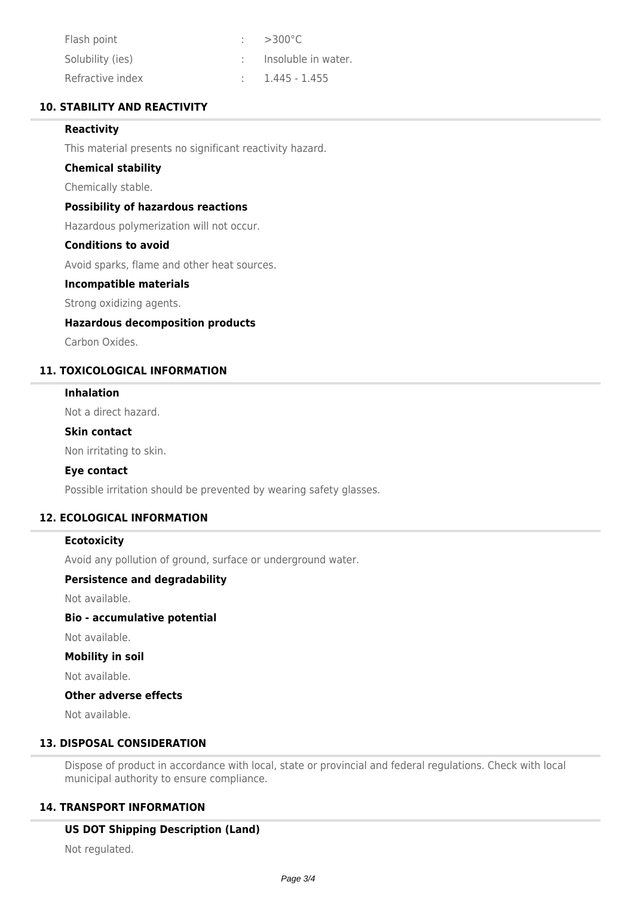| Flash point      | $\approx$ >300 °C.               |
|------------------|----------------------------------|
| Solubility (ies) | $\therefore$ Insoluble in water. |
| Refractive index | $1.445 - 1.455$                  |

### **10. STABILITY AND REACTIVITY**

### **Reactivity**

This material presents no significant reactivity hazard.

### **Chemical stability**

Chemically stable.

### **Possibility of hazardous reactions**

Hazardous polymerization will not occur.

### **Conditions to avoid**

Avoid sparks, flame and other heat sources.

### **Incompatible materials**

Strong oxidizing agents.

### **Hazardous decomposition products**

Carbon Oxides.

# **11. TOXICOLOGICAL INFORMATION**

## **Inhalation**

Not a direct hazard.

#### **Skin contact**

Non irritating to skin.

### **Eye contact**

Possible irritation should be prevented by wearing safety glasses.

### **12. ECOLOGICAL INFORMATION**

### **Ecotoxicity**

Avoid any pollution of ground, surface or underground water.

### **Persistence and degradability**

Not available.

# **Bio - accumulative potential**

Not available.

#### **Mobility in soil**

Not available.

### **Other adverse effects**

Not available.

## **13. DISPOSAL CONSIDERATION**

Dispose of product in accordance with local, state or provincial and federal regulations. Check with local municipal authority to ensure compliance.

### **14. TRANSPORT INFORMATION**

### **US DOT Shipping Description (Land)**

Not regulated.